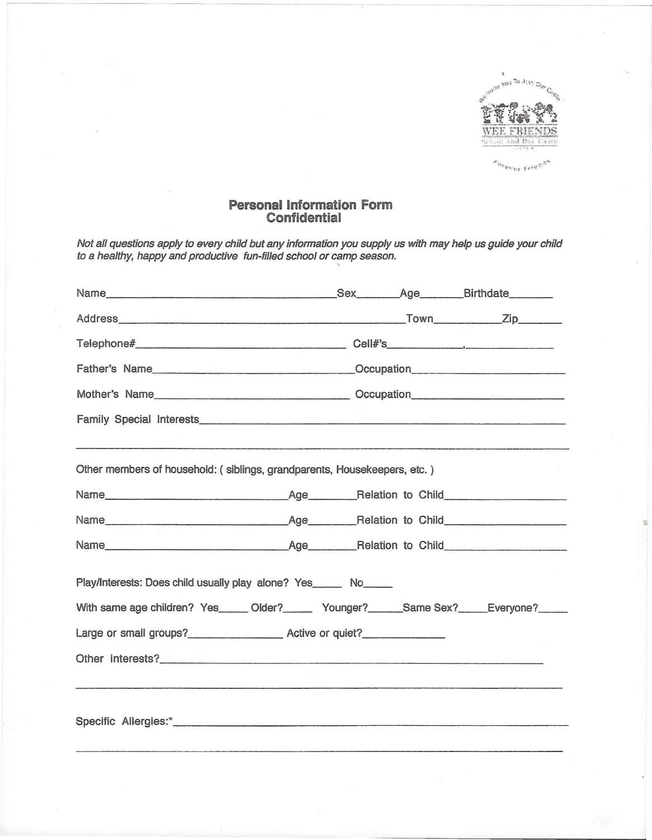

EDTBUOF Friends

## **Personal Information Form**<br>Confidential

Not all questions apply to every child but any information you supply us with may help us guide your child<br>to a healthy, happy and productive fun-filled school or camp season.

| Other members of household: (siblings, grandparents, Housekeepers, etc.)                 |  |  |  |
|------------------------------------------------------------------------------------------|--|--|--|
|                                                                                          |  |  |  |
|                                                                                          |  |  |  |
|                                                                                          |  |  |  |
| Play/Interests: Does child usually play alone? Yes______ No_____                         |  |  |  |
| With same age children? Yes_____ Older?______ Younger?______Same Sex?_____Everyone?_____ |  |  |  |
| Large or small groups?_________________________ Active or quiet?________________         |  |  |  |
|                                                                                          |  |  |  |
|                                                                                          |  |  |  |
|                                                                                          |  |  |  |
|                                                                                          |  |  |  |